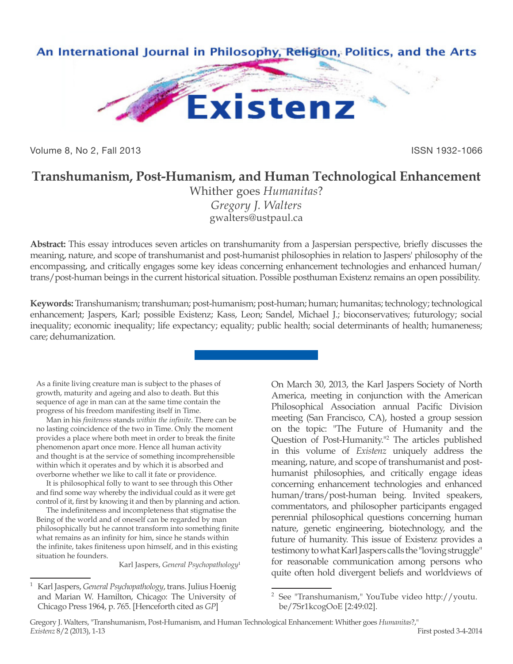

Volume 8, No 2, Fall 2013 **ISSN 1932-1066** 

## **Transhumanism, Post-Humanism, and Human Technological Enhancement**

Whither goes *Humanitas*? *Gregory J. Walters* gwalters@ustpaul.ca

**Abstract:** This essay introduces seven articles on transhumanity from a Jaspersian perspective, briefly discusses the meaning, nature, and scope of transhumanist and post-humanist philosophies in relation to Jaspers' philosophy of the encompassing, and critically engages some key ideas concerning enhancement technologies and enhanced human/ trans/post-human beings in the current historical situation. Possible posthuman Existenz remains an open possibility.

**Keywords:** Transhumanism; transhuman; post-humanism; post-human; human; humanitas; technology; technological enhancement; Jaspers, Karl; possible Existenz; Kass, Leon; Sandel, Michael J.; bioconservatives; futurology; social inequality; economic inequality; life expectancy; equality; public health; social determinants of health; humaneness; care; dehumanization.

As a finite living creature man is subject to the phases of growth, maturity and ageing and also to death. But this sequence of age in man can at the same time contain the progress of his freedom manifesting itself in Time.

Man in his *finiteness* stands *within the infinite*. There can be no lasting coincidence of the two in Time. Only the moment provides a place where both meet in order to break the finite phenomenon apart once more. Hence all human activity and thought is at the service of something incomprehensible within which it operates and by which it is absorbed and overborne whether we like to call it fate or providence.

It is philosophical folly to want to see through this Other and find some way whereby the individual could as it were get control of it, first by knowing it and then by planning and action.

The indefiniteness and incompleteness that stigmatise the Being of the world and of oneself can be regarded by man philosophically but he cannot transform into something finite what remains as an infinity for him, since he stands within the infinite, takes finiteness upon himself, and in this existing situation he founders.

Karl Jaspers, *General Psychopathology*<sup>1</sup>

On March 30, 2013, the Karl Jaspers Society of North America, meeting in conjunction with the American Philosophical Association annual Pacific Division meeting (San Francisco, CA), hosted a group session on the topic: "The Future of Humanity and the Question of Post-Humanity."2 The articles published in this volume of *Existenz* uniquely address the meaning, nature, and scope of transhumanist and posthumanist philosophies, and critically engage ideas concerning enhancement technologies and enhanced human/trans/post-human being. Invited speakers, commentators, and philosopher participants engaged perennial philosophical questions concerning human nature, genetic engineering, biotechnology, and the future of humanity. This issue of Existenz provides a testimony to what Karl Jaspers calls the "loving struggle" for reasonable communication among persons who quite often hold divergent beliefs and worldviews of

<sup>1</sup> Karl Jaspers, *General Psychopathology*, trans. Julius Hoenig and Marian W. Hamilton, Chicago: The University of Chicago Press 1964, p. 765. [Henceforth cited as *GP*]

<sup>2</sup> See "Transhumanism," YouTube video http://youtu. be/7Sr1kcogOoE [2:49:02].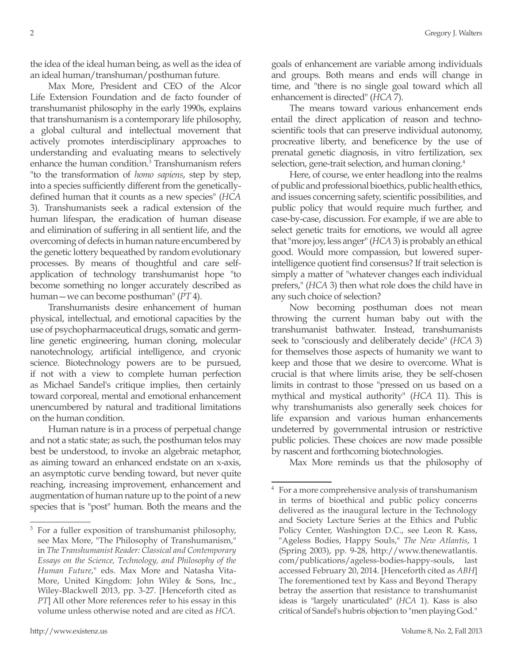the idea of the ideal human being, as well as the idea of an ideal human/transhuman/posthuman future.

Max More, President and CEO of the Alcor Life Extension Foundation and de facto founder of transhumanist philosophy in the early 1990s, explains that transhumanism is a contemporary life philosophy, a global cultural and intellectual movement that actively promotes interdisciplinary approaches to understanding and evaluating means to selectively enhance the human condition.<sup>3</sup> Transhumanism refers "to the transformation of *homo sapiens*, step by step, into a species sufficiently different from the geneticallydefined human that it counts as a new species" (*HCA* 3). Transhumanists seek a radical extension of the human lifespan, the eradication of human disease and elimination of suffering in all sentient life, and the overcoming of defects in human nature encumbered by the genetic lottery bequeathed by random evolutionary processes. By means of thoughtful and care selfapplication of technology transhumanist hope "to become something no longer accurately described as human—we can become posthuman" (*PT* 4).

Transhumanists desire enhancement of human physical, intellectual, and emotional capacities by the use of psychopharmaceutical drugs, somatic and germline genetic engineering, human cloning, molecular nanotechnology, artificial intelligence, and cryonic science. Biotechnology powers are to be pursued, if not with a view to complete human perfection as Michael Sandel's critique implies, then certainly toward corporeal, mental and emotional enhancement unencumbered by natural and traditional limitations on the human condition.

Human nature is in a process of perpetual change and not a static state; as such, the posthuman telos may best be understood, to invoke an algebraic metaphor, as aiming toward an enhanced endstate on an x-axis, an asymptotic curve bending toward, but never quite reaching, increasing improvement, enhancement and augmentation of human nature up to the point of a new species that is "post" human. Both the means and the goals of enhancement are variable among individuals and groups. Both means and ends will change in time, and "there is no single goal toward which all enhancement is directed" (*HCA* 7).

The means toward various enhancement ends entail the direct application of reason and technoscientific tools that can preserve individual autonomy, procreative liberty, and beneficence by the use of prenatal genetic diagnosis, in vitro fertilization, sex selection, gene-trait selection, and human cloning.<sup>4</sup>

Here, of course, we enter headlong into the realms of public and professional bioethics, public health ethics, and issues concerning safety, scientific possibilities, and public policy that would require much further, and case-by-case, discussion. For example, if we are able to select genetic traits for emotions, we would all agree that "more joy, less anger" (*HCA* 3) is probably an ethical good. Would more compassion, but lowered superintelligence quotient find consensus? If trait selection is simply a matter of "whatever changes each individual prefers," (*HCA* 3) then what role does the child have in any such choice of selection?

Now becoming posthuman does not mean throwing the current human baby out with the transhumanist bathwater. Instead, transhumanists seek to "consciously and deliberately decide" (*HCA* 3) for themselves those aspects of humanity we want to keep and those that we desire to overcome. What is crucial is that where limits arise, they be self-chosen limits in contrast to those "pressed on us based on a mythical and mystical authority" (*HCA* 11). This is why transhumanists also generally seek choices for life expansion and various human enhancements undeterred by governmental intrusion or restrictive public policies. These choices are now made possible by nascent and forthcoming biotechnologies.

Max More reminds us that the philosophy of

For a fuller exposition of transhumanist philosophy, see Max More, "The Philosophy of Transhumanism," in *The Transhumanist Reader: Classical and Contemporary Essays on the Science, Technology, and Philosophy of the Human Future*," eds. Max More and Natasha Vita-More, United Kingdom: John Wiley & Sons, Inc., Wiley-Blackwell 2013, pp. 3-27. [Henceforth cited as *PT*] All other More references refer to his essay in this volume unless otherwise noted and are cited as *HCA*.

For a more comprehensive analysis of transhumanism in terms of bioethical and public policy concerns delivered as the inaugural lecture in the Technology and Society Lecture Series at the Ethics and Public Policy Center, Washington D.C., see Leon R. Kass, "Ageless Bodies, Happy Souls," *The New Atlantis*, 1 (Spring 2003), pp. 9-28, http://www.thenewatlantis. com/publications/ageless-bodies-happy-souls, last accessed February 20, 2014. [Henceforth cited as *ABH*] The forementioned text by Kass and Beyond Therapy betray the assertion that resistance to transhumanist ideas is "largely unarticulated" (*HCA* 1). Kass is also critical of Sandel's hubris objection to "men playing God."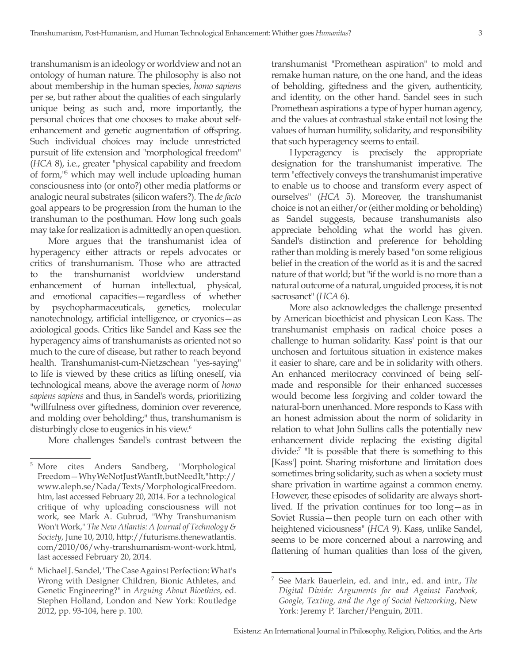transhumanism is an ideology or worldview and not an ontology of human nature. The philosophy is also not about membership in the human species, *homo sapiens* per se, but rather about the qualities of each singularly unique being as such and, more importantly, the personal choices that one chooses to make about selfenhancement and genetic augmentation of offspring. Such individual choices may include unrestricted pursuit of life extension and "morphological freedom" (*HCA* 8), i.e., greater "physical capability and freedom of form,"5 which may well include uploading human consciousness into (or onto?) other media platforms or analogic neural substrates (silicon wafers?). The *de facto* goal appears to be progression from the human to the transhuman to the posthuman. How long such goals may take for realization is admittedly an open question.

More argues that the transhumanist idea of hyperagency either attracts or repels advocates or critics of transhumanism. Those who are attracted to the transhumanist worldview understand enhancement of human intellectual, physical, and emotional capacities—regardless of whether by psychopharmaceuticals, genetics, molecular nanotechnology, artificial intelligence, or cryonics—as axiological goods. Critics like Sandel and Kass see the hyperagency aims of transhumanists as oriented not so much to the cure of disease, but rather to reach beyond health. Transhumanist-cum-Nietzschean "yes-saying" to life is viewed by these critics as lifting oneself, via technological means, above the average norm of *homo sapiens sapiens* and thus, in Sandel's words, prioritizing "willfulness over giftedness, dominion over reverence, and molding over beholding;" thus, transhumanism is disturbingly close to eugenics in his view.<sup>6</sup>

More challenges Sandel's contrast between the

transhumanist "Promethean aspiration" to mold and remake human nature, on the one hand, and the ideas of beholding, giftedness and the given, authenticity, and identity, on the other hand. Sandel sees in such Promethean aspirations a type of hyper human agency, and the values at contrastual stake entail not losing the values of human humility, solidarity, and responsibility that such hyperagency seems to entail.

Hyperagency is precisely the appropriate designation for the transhumanist imperative. The term "effectively conveys the transhumanist imperative to enable us to choose and transform every aspect of ourselves" (*HCA* 5). Moreover, the transhumanist choice is not an either/or (either molding or beholding) as Sandel suggests, because transhumanists also appreciate beholding what the world has given. Sandel's distinction and preference for beholding rather than molding is merely based "on some religious belief in the creation of the world as it is and the sacred nature of that world; but "if the world is no more than a natural outcome of a natural, unguided process, it is not sacrosanct" (*HCA* 6).

More also acknowledges the challenge presented by American bioethicist and physican Leon Kass. The transhumanist emphasis on radical choice poses a challenge to human solidarity. Kass' point is that our unchosen and fortuitous situation in existence makes it easier to share, care and be in solidarity with others. An enhanced meritocracy convinced of being selfmade and responsible for their enhanced successes would become less forgiving and colder toward the natural-born unenhanced. More responds to Kass with an honest admission about the norm of solidarity in relation to what John Sullins calls the potentially new enhancement divide replacing the existing digital divide:7 "It is possible that there is something to this [Kass'] point. Sharing misfortune and limitation does sometimes bring solidarity, such as when a society must share privation in wartime against a common enemy. However, these episodes of solidarity are always shortlived. If the privation continues for too long—as in Soviet Russia—then people turn on each other with heightened viciousness" (*HCA* 9). Kass, unlike Sandel, seems to be more concerned about a narrowing and flattening of human qualities than loss of the given,

<sup>5</sup> More cites Anders Sandberg, "Morphological Freedom—Why We Not Just Want It, but Need It," http:// www.aleph.se/Nada/Texts/MorphologicalFreedom. htm, last accessed February 20, 2014. For a technological critique of why uploading consciousness will not work, see Mark A. Gubrud, "Why Transhumanism Won't Work," *The New Atlantis: A Journal of Technology & Society*, June 10, 2010, http://futurisms.thenewatlantis. com/2010/06/why-transhumanism-wont-work.html, last accessed February 20, 2014.

<sup>6</sup> Michael J. Sandel, "The Case Against Perfection: What's Wrong with Designer Children, Bionic Athletes, and Genetic Engineering?" in *Arguing About Bioethics*, ed. Stephen Holland, London and New York: Routledge 2012, pp. 93-104, here p. 100.

<sup>7</sup> See Mark Bauerlein, ed. and intr., ed. and intr., *The Digital Divide: Arguments for and Against Facebook, Google, Texting, and the Age of Social Networking*, New York: Jeremy P. Tarcher/Penguin, 2011.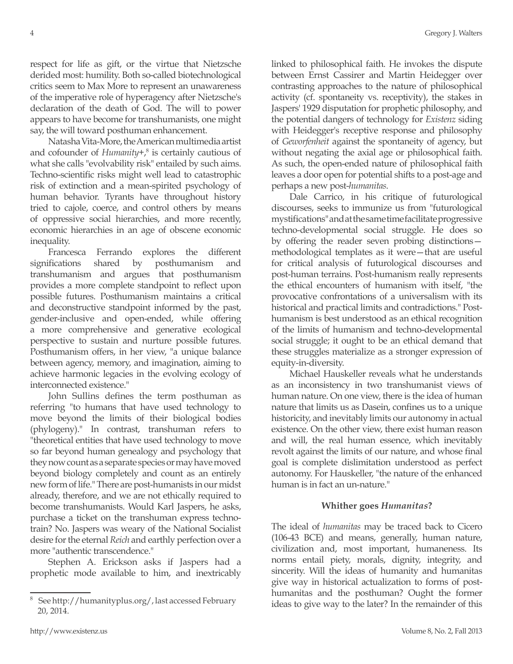respect for life as gift, or the virtue that Nietzsche derided most: humility. Both so-called biotechnological critics seem to Max More to represent an unawareness of the imperative role of hyperagency after Nietzsche's declaration of the death of God. The will to power appears to have become for transhumanists, one might say, the will toward posthuman enhancement.

Natasha Vita-More, the American multimedia artist and cofounder of *Humanity+*, 8 is certainly cautious of what she calls "evolvability risk" entailed by such aims. Techno-scientific risks might well lead to catastrophic risk of extinction and a mean-spirited psychology of human behavior. Tyrants have throughout history tried to cajole, coerce, and control others by means of oppressive social hierarchies, and more recently, economic hierarchies in an age of obscene economic inequality.

Francesca Ferrando explores the different significations shared by posthumanism and transhumanism and argues that posthumanism provides a more complete standpoint to reflect upon possible futures. Posthumanism maintains a critical and deconstructive standpoint informed by the past, gender-inclusive and open-ended, while offering a more comprehensive and generative ecological perspective to sustain and nurture possible futures. Posthumanism offers, in her view, "a unique balance between agency, memory, and imagination, aiming to achieve harmonic legacies in the evolving ecology of interconnected existence."

John Sullins defines the term posthuman as referring "to humans that have used technology to move beyond the limits of their biological bodies (phylogeny)." In contrast, transhuman refers to "theoretical entities that have used technology to move so far beyond human genealogy and psychology that they now count as a separate species or may have moved beyond biology completely and count as an entirely new form of life." There are post-humanists in our midst already, therefore, and we are not ethically required to become transhumanists. Would Karl Jaspers, he asks, purchase a ticket on the transhuman express technotrain? No. Jaspers was weary of the National Socialist desire for the eternal *Reich* and earthly perfection over a more "authentic transcendence."

Stephen A. Erickson asks if Jaspers had a prophetic mode available to him, and inextricably linked to philosophical faith. He invokes the dispute between Ernst Cassirer and Martin Heidegger over contrasting approaches to the nature of philosophical activity (cf. spontaneity vs. receptivity), the stakes in Jaspers' 1929 disputation for prophetic philosophy, and the potential dangers of technology for *Existenz* siding with Heidegger's receptive response and philosophy of *Geworfenheit* against the spontaneity of agency, but without negating the axial age or philosophical faith. As such, the open-ended nature of philosophical faith leaves a door open for potential shifts to a post-age and perhaps a new post-*humanitas*.

Dale Carrico, in his critique of futurological discourses, seeks to immunize us from "futurological mystifications" and at the same time facilitate progressive techno-developmental social struggle. He does so by offering the reader seven probing distinctions methodological templates as it were—that are useful for critical analysis of futurological discourses and post-human terrains. Post-humanism really represents the ethical encounters of humanism with itself, "the provocative confrontations of a universalism with its historical and practical limits and contradictions." Posthumanism is best understood as an ethical recognition of the limits of humanism and techno-developmental social struggle; it ought to be an ethical demand that these struggles materialize as a stronger expression of equity-in-diversity.

Michael Hauskeller reveals what he understands as an inconsistency in two transhumanist views of human nature. On one view, there is the idea of human nature that limits us as Dasein, confines us to a unique historicity, and inevitably limits our autonomy in actual existence. On the other view, there exist human reason and will, the real human essence, which inevitably revolt against the limits of our nature, and whose final goal is complete dislimitation understood as perfect autonomy. For Hauskeller, "the nature of the enhanced human is in fact an un-nature."

## **Whither goes** *Humanitas***?**

The ideal of *humanitas* may be traced back to Cicero (106-43 BCE) and means, generally, human nature, civilization and, most important, humaneness. Its norms entail piety, morals, dignity, integrity, and sincerity. Will the ideas of humanity and humanitas give way in historical actualization to forms of posthumanitas and the posthuman? Ought the former ideas to give way to the later? In the remainder of this

<sup>8</sup> See http://humanityplus.org/, last accessed February 20, 2014.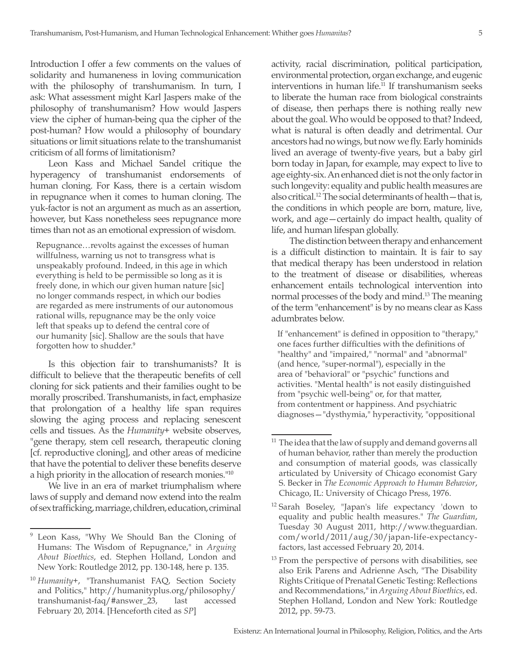Introduction I offer a few comments on the values of solidarity and humaneness in loving communication with the philosophy of transhumanism. In turn, I ask: What assessment might Karl Jaspers make of the philosophy of transhumanism? How would Jaspers view the cipher of human-being qua the cipher of the post-human? How would a philosophy of boundary situations or limit situations relate to the transhumanist criticism of all forms of limitationism?

Leon Kass and Michael Sandel critique the hyperagency of transhumanist endorsements of human cloning. For Kass, there is a certain wisdom in repugnance when it comes to human cloning. The yuk-factor is not an argument as much as an assertion, however, but Kass nonetheless sees repugnance more times than not as an emotional expression of wisdom.

Repugnance…revolts against the excesses of human willfulness, warning us not to transgress what is unspeakably profound. Indeed, in this age in which everything is held to be permissible so long as it is freely done, in which our given human nature [sic] no longer commands respect, in which our bodies are regarded as mere instruments of our autonomous rational wills, repugnance may be the only voice left that speaks up to defend the central core of our humanity [sic]. Shallow are the souls that have forgotten how to shudder.<sup>9</sup>

Is this objection fair to transhumanists? It is difficult to believe that the therapeutic benefits of cell cloning for sick patients and their families ought to be morally proscribed. Transhumanists, in fact, emphasize that prolongation of a healthy life span requires slowing the aging process and replacing senescent cells and tissues. As the *Humanity+* website observes, "gene therapy, stem cell research, therapeutic cloning [cf. reproductive cloning], and other areas of medicine that have the potential to deliver these benefits deserve a high priority in the allocation of research monies."10

We live in an era of market triumphalism where laws of supply and demand now extend into the realm of sex trafficking, marriage, children, education, criminal activity, racial discrimination, political participation, environmental protection, organ exchange, and eugenic interventions in human life.11 If transhumanism seeks to liberate the human race from biological constraints of disease, then perhaps there is nothing really new about the goal. Who would be opposed to that? Indeed, what is natural is often deadly and detrimental. Our ancestors had no wings, but now we fly. Early hominids lived an average of twenty-five years, but a baby girl born today in Japan, for example, may expect to live to age eighty-six. An enhanced diet is not the only factor in such longevity: equality and public health measures are also critical.12 The social determinants of health—that is, the conditions in which people are born, mature, live, work, and age—certainly do impact health, quality of life, and human lifespan globally.

The distinction between therapy and enhancement is a difficult distinction to maintain. It is fair to say that medical therapy has been understood in relation to the treatment of disease or disabilities, whereas enhancement entails technological intervention into normal processes of the body and mind.<sup>13</sup> The meaning of the term "enhancement" is by no means clear as Kass adumbrates below.

If "enhancement" is defined in opposition to "therapy," one faces further difficulties with the definitions of "healthy" and "impaired," "normal" and "abnormal" (and hence, "super-normal"), especially in the area of "behavioral" or "psychic" functions and activities. "Mental health" is not easily distinguished from "psychic well-being" or, for that matter, from contentment or happiness. And psychiatric diagnoses—"dysthymia," hyperactivity, "oppositional

Leon Kass, "Why We Should Ban the Cloning of Humans: The Wisdom of Repugnance," in *Arguing About Bioethics*, ed. Stephen Holland, London and New York: Routledge 2012, pp. 130-148, here p. 135.

<sup>10</sup> *Humanity+*, "Transhumanist FAQ, Section Society and Politics," http://humanityplus.org/philosophy/ transhumanist-faq/#answer\_23, last accessed February 20, 2014. [Henceforth cited as *SP*]

The idea that the law of supply and demand governs all of human behavior, rather than merely the production and consumption of material goods, was classically articulated by University of Chicago economist Gary S. Becker in *The Economic Approach to Human Behavior*, Chicago, IL: University of Chicago Press, 1976.

<sup>12</sup> Sarah Boseley, "Japan's life expectancy 'down to equality and public health measures." *The Guardian*, Tuesday 30 August 2011, http://www.theguardian. com/world/2011/aug/30/japan-life-expectancyfactors, last accessed February 20, 2014.

From the perspective of persons with disabilities, see also Erik Parens and Adrienne Asch, "The Disability Rights Critique of Prenatal Genetic Testing: Reflections and Recommendations," in *Arguing About Bioethics*, ed. Stephen Holland, London and New York: Routledge 2012, pp. 59-73.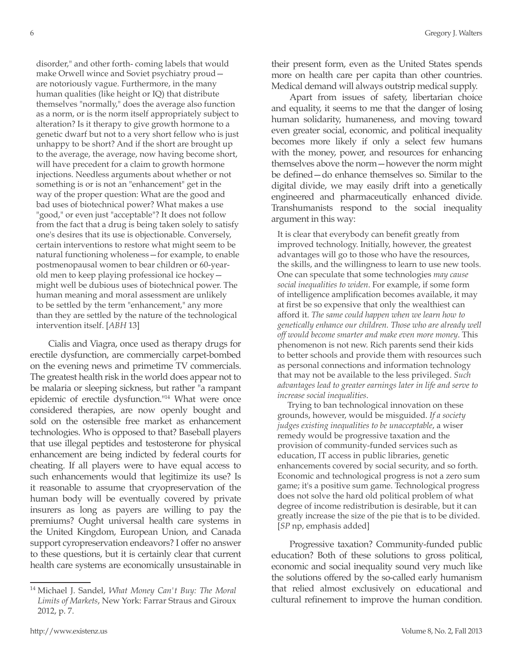disorder," and other forth- coming labels that would make Orwell wince and Soviet psychiatry proud are notoriously vague. Furthermore, in the many human qualities (like height or IQ) that distribute themselves "normally," does the average also function as a norm, or is the norm itself appropriately subject to alteration? Is it therapy to give growth hormone to a genetic dwarf but not to a very short fellow who is just unhappy to be short? And if the short are brought up to the average, the average, now having become short, will have precedent for a claim to growth hormone injections. Needless arguments about whether or not something is or is not an "enhancement" get in the way of the proper question: What are the good and bad uses of biotechnical power? What makes a use "good," or even just "acceptable"? It does not follow from the fact that a drug is being taken solely to satisfy one's desires that its use is objectionable. Conversely, certain interventions to restore what might seem to be natural functioning wholeness—for example, to enable postmenopausal women to bear children or 60-yearold men to keep playing professional ice hockey might well be dubious uses of biotechnical power. The human meaning and moral assessment are unlikely to be settled by the term "enhancement," any more than they are settled by the nature of the technological intervention itself. [*ABH* 13]

Cialis and Viagra, once used as therapy drugs for erectile dysfunction, are commercially carpet-bombed on the evening news and primetime TV commercials. The greatest health risk in the world does appear not to be malaria or sleeping sickness, but rather "a rampant epidemic of erectile dysfunction."14 What were once considered therapies, are now openly bought and sold on the ostensible free market as enhancement technologies. Who is opposed to that? Baseball players that use illegal peptides and testosterone for physical enhancement are being indicted by federal courts for cheating. If all players were to have equal access to such enhancements would that legitimize its use? Is it reasonable to assume that cryopreservation of the human body will be eventually covered by private insurers as long as payers are willing to pay the premiums? Ought universal health care systems in the United Kingdom, European Union, and Canada support cyropreservation endeavors? I offer no answer to these questions, but it is certainly clear that current health care systems are economically unsustainable in their present form, even as the United States spends more on health care per capita than other countries. Medical demand will always outstrip medical supply.

Apart from issues of safety, libertarian choice and equality, it seems to me that the danger of losing human solidarity, humaneness, and moving toward even greater social, economic, and political inequality becomes more likely if only a select few humans with the money, power, and resources for enhancing themselves above the norm—however the norm might be defined—do enhance themselves so. Similar to the digital divide, we may easily drift into a genetically engineered and pharmaceutically enhanced divide. Transhumanists respond to the social inequality argument in this way:

It is clear that everybody can benefit greatly from improved technology. Initially, however, the greatest advantages will go to those who have the resources, the skills, and the willingness to learn to use new tools. One can speculate that some technologies *may cause social inequalities to widen*. For example, if some form of intelligence amplification becomes available, it may at first be so expensive that only the wealthiest can afford it. *The same could happen when we learn how to genetically enhance our children. Those who are already well off would become smarter and make even more money*. This phenomenon is not new. Rich parents send their kids to better schools and provide them with resources such as personal connections and information technology that may not be available to the less privileged. *Such advantages lead to greater earnings later in life and serve to increase social inequalities*.

Trying to ban technological innovation on these grounds, however, would be misguided. *If a society judges existing inequalities to be unacceptable*, a wiser remedy would be progressive taxation and the provision of community-funded services such as education, IT access in public libraries, genetic enhancements covered by social security, and so forth. Economic and technological progress is not a zero sum game; it's a positive sum game. Technological progress does not solve the hard old political problem of what degree of income redistribution is desirable, but it can greatly increase the size of the pie that is to be divided. [*SP* np, emphasis added]

Progressive taxation? Community-funded public education? Both of these solutions to gross political, economic and social inequality sound very much like the solutions offered by the so-called early humanism that relied almost exclusively on educational and cultural refinement to improve the human condition.

<sup>14</sup> Michael J. Sandel, *What Money Can't Buy: The Moral Limits of Markets*, New York: Farrar Straus and Giroux 2012, p. 7.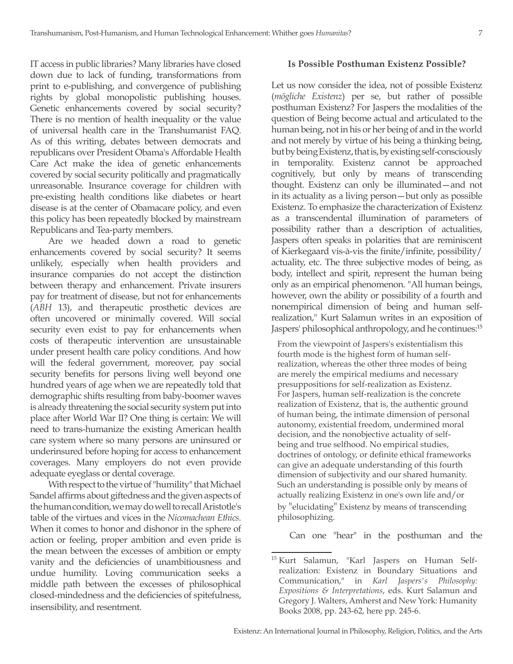IT access in public libraries? Many libraries have closed down due to lack of funding, transformations from print to e-publishing, and convergence of publishing rights by global monopolistic publishing houses. Genetic enhancements covered by social security? There is no mention of health inequality or the value of universal health care in the Transhumanist FAQ. As of this writing, debates between democrats and republicans over President Obama's Affordable Health Care Act make the idea of genetic enhancements covered by social security politically and pragmatically unreasonable. Insurance coverage for children with pre-existing health conditions like diabetes or heart disease is at the center of Obamacare policy, and even this policy has been repeatedly blocked by mainstream Republicans and Tea-party members.

Are we headed down a road to genetic enhancements covered by social security? It seems unlikely, especially when health providers and insurance companies do not accept the distinction between therapy and enhancement. Private insurers pay for treatment of disease, but not for enhancements (*ABH* 13), and therapeutic prosthetic devices are often uncovered or minimally covered. Will social security even exist to pay for enhancements when costs of therapeutic intervention are unsustainable under present health care policy conditions. And how will the federal government, moreover, pay social security benefits for persons living well beyond one hundred years of age when we are repeatedly told that demographic shifts resulting from baby-boomer waves is already threatening the social security system put into place after World War II? One thing is certain: We will need to trans-humanize the existing American health care system where so many persons are uninsured or underinsured before hoping for access to enhancement coverages. Many employers do not even provide adequate eyeglass or dental coverage.

With respect to the virtue of "humility" that Michael Sandel affirms about giftedness and the given aspects of the human condition, we may do well to recall Aristotle's table of the virtues and vices in the *Nicomachean Ethics*. When it comes to honor and dishonor in the sphere of action or feeling, proper ambition and even pride is the mean between the excesses of ambition or empty vanity and the deficiencies of unambitiousness and undue humility. Loving communication seeks a middle path between the excesses of philosophical closed-mindedness and the deficiencies of spitefulness, insensibility, and resentment.

## **Is Possible Posthuman Existenz Possible?**

Let us now consider the idea, not of possible Existenz (*mögliche Existenz*) per se, but rather of possible posthuman Existenz? For Jaspers the modalities of the question of Being become actual and articulated to the human being, not in his or her being of and in the world and not merely by virtue of his being a thinking being, but by being Existenz, that is, by existing self-consciously in temporality. Existenz cannot be approached cognitively, but only by means of transcending thought. Existenz can only be illuminated—and not in its actuality as a living person—but only as possible Existenz. To emphasize the characterization of Existenz as a transcendental illumination of parameters of possibility rather than a description of actualities, Jaspers often speaks in polarities that are reminiscent of Kierkegaard vis-à-vis the finite/infinite, possibility/ actuality, etc. The three subjective modes of being, as body, intellect and spirit, represent the human being only as an empirical phenomenon. "All human beings, however, own the ability or possibility of a fourth and nonempirical dimension of being and human selfrealization," Kurt Salamun writes in an exposition of Jaspers' philosophical anthropology, and he continues:15

From the viewpoint of Jaspers's existentialism this fourth mode is the highest form of human selfrealization, whereas the other three modes of being are merely the empirical mediums and necessary presuppositions for self-realization as Existenz. For Jaspers, human self-realization is the concrete realization of Existenz, that is, the authentic ground of human being, the intimate dimension of personal autonomy, existential freedom, undermined moral decision, and the nonobjective actuality of selfbeing and true selfhood. No empirical studies, doctrines of ontology, or definite ethical frameworks can give an adequate understanding of this fourth dimension of subjectivity and our shared humanity. Such an understanding is possible only by means of actually realizing Existenz in one's own life and/or by "elucidating" Existenz by means of transcending philosophizing.

Can one "hear" in the posthuman and the

<sup>15</sup> Kurt Salamun, "Karl Jaspers on Human Selfrealization: Existenz in Boundary Situations and Communication," in *Karl Jaspers's Philosophy: Expositions & Interpretations*, eds. Kurt Salamun and Gregory J. Walters, Amherst and New York: Humanity Books 2008, pp. 243-62, here pp. 245-6.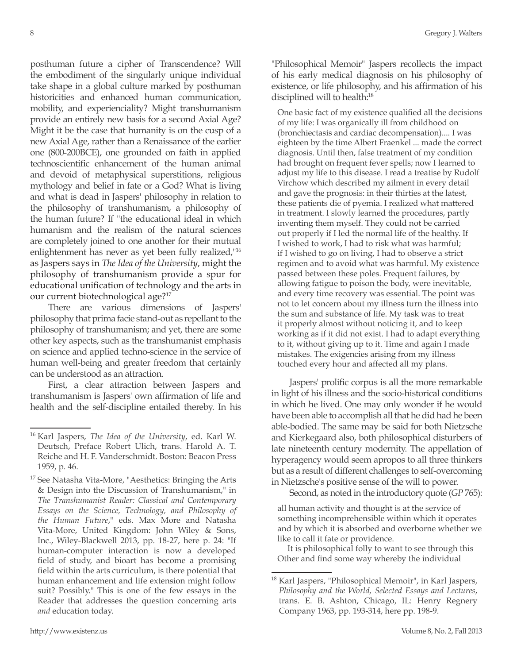posthuman future a cipher of Transcendence? Will the embodiment of the singularly unique individual take shape in a global culture marked by posthuman historicities and enhanced human communication, mobility, and experienciality? Might transhumanism provide an entirely new basis for a second Axial Age? Might it be the case that humanity is on the cusp of a new Axial Age, rather than a Renaissance of the earlier one (800-200BCE), one grounded on faith in applied technoscientific enhancement of the human animal and devoid of metaphysical superstitions, religious mythology and belief in fate or a God? What is living and what is dead in Jaspers' philosophy in relation to the philosophy of transhumanism, a philosophy of the human future? If "the educational ideal in which humanism and the realism of the natural sciences are completely joined to one another for their mutual enlightenment has never as yet been fully realized,"16 as Jaspers says in *The Idea of the University*, might the philosophy of transhumanism provide a spur for educational unification of technology and the arts in our current biotechnological age?17

There are various dimensions of Jaspers' philosophy that prima facie stand-out as repellant to the philosophy of transhumanism; and yet, there are some other key aspects, such as the transhumanist emphasis on science and applied techno-science in the service of human well-being and greater freedom that certainly can be understood as an attraction.

First, a clear attraction between Jaspers and transhumanism is Jaspers' own affirmation of life and health and the self-discipline entailed thereby. In his "Philosophical Memoir" Jaspers recollects the impact of his early medical diagnosis on his philosophy of existence, or life philosophy, and his affirmation of his disciplined will to health:<sup>18</sup>

One basic fact of my existence qualified all the decisions of my life: I was organically ill from childhood on (bronchiectasis and cardiac decompensation).... I was eighteen by the time Albert Fraenkel ... made the correct diagnosis. Until then, false treatment of my condition had brought on frequent fever spells; now I learned to adjust my life to this disease. I read a treatise by Rudolf Virchow which described my ailment in every detail and gave the prognosis: in their thirties at the latest, these patients die of pyemia. I realized what mattered in treatment. I slowly learned the procedures, partly inventing them myself. They could not be carried out properly if I led the normal life of the healthy. If I wished to work, I had to risk what was harmful; if I wished to go on living, I had to observe a strict regimen and to avoid what was harmful. My existence passed between these poles. Frequent failures, by allowing fatigue to poison the body, were inevitable, and every time recovery was essential. The point was not to let concern about my illness turn the illness into the sum and substance of life. My task was to treat it properly almost without noticing it, and to keep working as if it did not exist. I had to adapt everything to it, without giving up to it. Time and again I made mistakes. The exigencies arising from my illness touched every hour and affected all my plans.

Jaspers' prolific corpus is all the more remarkable in light of his illness and the socio-historical conditions in which he lived. One may only wonder if he would have been able to accomplish all that he did had he been able-bodied. The same may be said for both Nietzsche and Kierkegaard also, both philosophical disturbers of late nineteenth century modernity. The appellation of hyperagency would seem apropos to all three thinkers but as a result of different challenges to self-overcoming in Nietzsche's positive sense of the will to power.

Second, as noted in the introductory quote (*GP* 765):

all human activity and thought is at the service of something incomprehensible within which it operates and by which it is absorbed and overborne whether we like to call it fate or providence.

It is philosophical folly to want to see through this Other and find some way whereby the individual

<sup>16</sup> Karl Jaspers, *The Idea of the University*, ed. Karl W. Deutsch, Preface Robert Ulich, trans. Harold A. T. Reiche and H. F. Vanderschmidt. Boston: Beacon Press 1959, p. 46.

<sup>&</sup>lt;sup>17</sup> See Natasha Vita-More, "Aesthetics: Bringing the Arts & Design into the Discussion of Transhumanism," in *The Transhumanist Reader: Classical and Contemporary Essays on the Science, Technology, and Philosophy of the Human Future*," eds. Max More and Natasha Vita-More, United Kingdom: John Wiley & Sons, Inc., Wiley-Blackwell 2013, pp. 18-27, here p. 24: "If human-computer interaction is now a developed field of study, and bioart has become a promising field within the arts curriculum, is there potential that human enhancement and life extension might follow suit? Possibly." This is one of the few essays in the Reader that addresses the question concerning arts *and* education today.

<sup>18</sup> Karl Jaspers, "Philosophical Memoir", in Karl Jaspers, *Philosophy and the World, Selected Essays and Lectures*, trans. E. B. Ashton, Chicago, IL: Henry Regnery Company 1963, pp. 193-314, here pp. 198-9.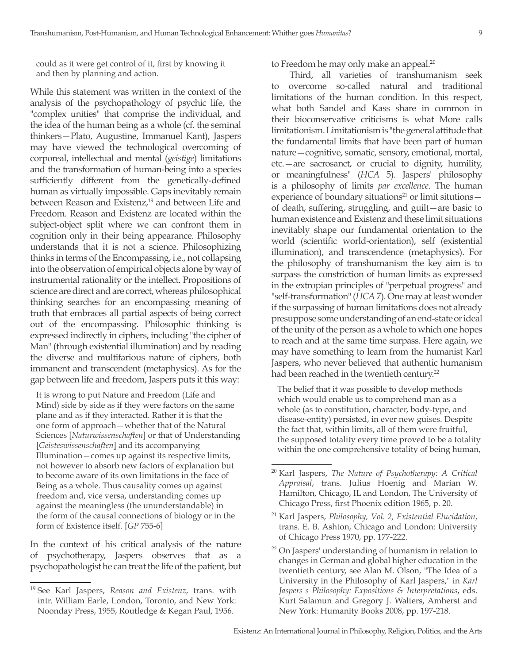could as it were get control of it, first by knowing it and then by planning and action.

While this statement was written in the context of the analysis of the psychopathology of psychic life, the "complex unities" that comprise the individual, and the idea of the human being as a whole (cf. the seminal thinkers—Plato, Augustine, Immanuel Kant), Jaspers may have viewed the technological overcoming of corporeal, intellectual and mental (*geistige*) limitations and the transformation of human-being into a species sufficiently different from the genetically-defined human as virtually impossible. Gaps inevitably remain between Reason and Existenz,<sup>19</sup> and between Life and Freedom. Reason and Existenz are located within the subject-object split where we can confront them in cognition only in their being appearance. Philosophy understands that it is not a science. Philosophizing thinks in terms of the Encompassing, i.e., not collapsing into the observation of empirical objects alone by way of instrumental rationality or the intellect. Propositions of science are direct and are correct, whereas philosophical thinking searches for an encompassing meaning of truth that embraces all partial aspects of being correct out of the encompassing. Philosophic thinking is expressed indirectly in ciphers, including "the cipher of Man" (through existential illumination) and by reading the diverse and multifarious nature of ciphers, both immanent and transcendent (metaphysics). As for the gap between life and freedom, Jaspers puts it this way:

It is wrong to put Nature and Freedom (Life and Mind) side by side as if they were factors on the same plane and as if they interacted. Rather it is that the one form of approach—whether that of the Natural Sciences [*Naturwissenschaften*] or that of Understanding [*Geisteswissenschaften*] and its accompanying Illumination—comes up against its respective limits, not however to absorb new factors of explanation but to become aware of its own limitations in the face of Being as a whole. Thus causality comes up against freedom and, vice versa, understanding comes up against the meaningless (the ununderstandable) in the form of the causal connections of biology or in the form of Existence itself. [*GP* 755-6]

In the context of his critical analysis of the nature of psychotherapy, Jaspers observes that as a psychopathologist he can treat the life of the patient, but to Freedom he may only make an appeal.<sup>20</sup>

Third, all varieties of transhumanism seek to overcome so-called natural and traditional limitations of the human condition. In this respect, what both Sandel and Kass share in common in their bioconservative criticisms is what More calls limitationism. Limitationism is "the general attitude that the fundamental limits that have been part of human nature—cognitive, somatic, sensory, emotional, mortal, etc.—are sacrosanct, or crucial to dignity, humility, or meaningfulness" (*HCA* 5). Jaspers' philosophy is a philosophy of limits *par excellence*. The human experience of boundary situations<sup>21</sup> or limit situtions $$ of death, suffering, struggling, and guilt—are basic to human existence and Existenz and these limit situations inevitably shape our fundamental orientation to the world (scientific world-orientation), self (existential illumination), and transcendence (metaphysics). For the philosophy of transhumanism the key aim is to surpass the constriction of human limits as expressed in the extropian principles of "perpetual progress" and "self-transformation" (*HCA* 7). One may at least wonder if the surpassing of human limitations does not already presuppose some understanding of an end-state or ideal of the unity of the person as a whole to which one hopes to reach and at the same time surpass. Here again, we may have something to learn from the humanist Karl Jaspers, who never believed that authentic humanism had been reached in the twentieth century.<sup>22</sup>

The belief that it was possible to develop methods which would enable us to comprehend man as a whole (as to constitution, character, body-type, and disease-entity) persisted, in ever new guises. Despite the fact that, within limits, all of them were fruitful, the supposed totality every time proved to be a totality within the one comprehensive totality of being human,

<sup>19</sup> See Karl Jaspers, *Reason and Existenz*, trans. with intr. William Earle, London, Toronto, and New York: Noonday Press, 1955, Routledge & Kegan Paul, 1956.

<sup>20</sup> Karl Jaspers, *The Nature of Psychotherapy: A Critical Appraisal*, trans. Julius Hoenig and Marian W. Hamilton, Chicago, IL and London, The University of Chicago Press, first Phoenix edition 1965, p. 20.

<sup>21</sup> Karl Jaspers, *Philosophy, Vol. 2, Existential Elucidation*, trans. E. B. Ashton, Chicago and London: University of Chicago Press 1970, pp. 177-222.

<sup>22</sup> On Jaspers' understanding of humanism in relation to changes in German and global higher education in the twentieth century, see Alan M. Olson, "The Idea of a University in the Philosophy of Karl Jaspers," in *Karl Jaspers's Philosophy: Expositions & Interpretations*, eds. Kurt Salamun and Gregory J. Walters, Amherst and New York: Humanity Books 2008, pp. 197-218.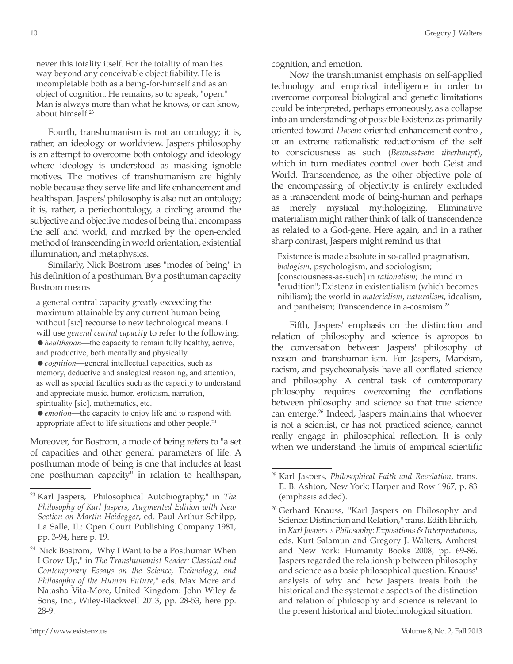never this totality itself. For the totality of man lies way beyond any conceivable objectifiability. He is incompletable both as a being-for-himself and as an object of cognition. He remains, so to speak, "open." Man is always more than what he knows, or can know, about himself.23

Fourth, transhumanism is not an ontology; it is, rather, an ideology or worldview. Jaspers philosophy is an attempt to overcome both ontology and ideology where ideology is understood as masking ignoble motives. The motives of transhumanism are highly noble because they serve life and life enhancement and healthspan. Jaspers' philosophy is also not an ontology; it is, rather, a periechontology, a circling around the subjective and objective modes of being that encompass the self and world, and marked by the open-ended method of transcending in world orientation, existential illumination, and metaphysics.

Similarly, Nick Bostrom uses "modes of being" in his definition of a posthuman. By a posthuman capacity Bostrom means

a general central capacity greatly exceeding the maximum attainable by any current human being without [sic] recourse to new technological means. I will use *general central capacity* to refer to the following: =*healthspan*—the capacity to remain fully healthy, active, and productive, both mentally and physically

=*cognition*—general intellectual capacities, such as memory, deductive and analogical reasoning, and attention, as well as special faculties such as the capacity to understand and appreciate music, humor, eroticism, narration, spirituality [sic], mathematics, etc.

● *emotion*—the capacity to enjoy life and to respond with appropriate affect to life situations and other people.24

Moreover, for Bostrom, a mode of being refers to "a set of capacities and other general parameters of life. A posthuman mode of being is one that includes at least one posthuman capacity" in relation to healthspan,

cognition, and emotion.

Now the transhumanist emphasis on self-applied technology and empirical intelligence in order to overcome corporeal biological and genetic limitations could be interpreted, perhaps erroneously, as a collapse into an understanding of possible Existenz as primarily oriented toward *Dasein*-oriented enhancement control, or an extreme rationalistic reductionism of the self to consciousness as such (*Bewusstsein überhaupt*), which in turn mediates control over both Geist and World. Transcendence, as the other objective pole of the encompassing of objectivity is entirely excluded as a transcendent mode of being-human and perhaps as merely mystical mythologizing. Eliminative materialism might rather think of talk of transcendence as related to a God-gene. Here again, and in a rather sharp contrast, Jaspers might remind us that

Existence is made absolute in so-called pragmatism, *biologism*, psychologism, and sociologism; [consciousness-as-such] in *rationalism*; the mind in "erudition"; Existenz in existentialism (which becomes nihilism); the world in *materialism*, *naturalism*, idealism, and pantheism; Transcendence in a-cosmism.25

Fifth, Jaspers' emphasis on the distinction and relation of philosophy and science is apropos to the conversation between Jaspers' philosophy of reason and transhuman-ism. For Jaspers, Marxism, racism, and psychoanalysis have all conflated science and philosophy. A central task of contemporary philosophy requires overcoming the conflations between philosophy and science so that true science can emerge.26 Indeed, Jaspers maintains that whoever is not a scientist, or has not practiced science, cannot really engage in philosophical reflection. It is only when we understand the limits of empirical scientific

<sup>23</sup> Karl Jaspers, "Philosophical Autobiography," in *The Philosophy of Karl Jaspers, Augmented Edition with New Section on Martin Heidegger*, ed. Paul Arthur Schilpp, La Salle, IL: Open Court Publishing Company 1981, pp. 3-94, here p. 19.

<sup>&</sup>lt;sup>24</sup> Nick Bostrom, "Why I Want to be a Posthuman When I Grow Up," in *The Transhumanist Reader: Classical and Contemporary Essays on the Science, Technology, and Philosophy of the Human Future*," eds. Max More and Natasha Vita-More, United Kingdom: John Wiley & Sons, Inc., Wiley-Blackwell 2013, pp. 28-53, here pp. 28-9.

<sup>25</sup> Karl Jaspers, *Philosophical Faith and Revelation*, trans. E. B. Ashton, New York: Harper and Row 1967, p. 83 (emphasis added).

<sup>&</sup>lt;sup>26</sup> Gerhard Knauss, "Karl Jaspers on Philosophy and Science: Distinction and Relation," trans. Edith Ehrlich, in *Karl Jaspers's Philosophy: Expositions & Interpretations*, eds. Kurt Salamun and Gregory J. Walters, Amherst and New York: Humanity Books 2008, pp. 69-86. Jaspers regarded the relationship between philosophy and science as a basic philosophical question. Knauss' analysis of why and how Jaspers treats both the historical and the systematic aspects of the distinction and relation of philosophy and science is relevant to the present historical and biotechnological situation.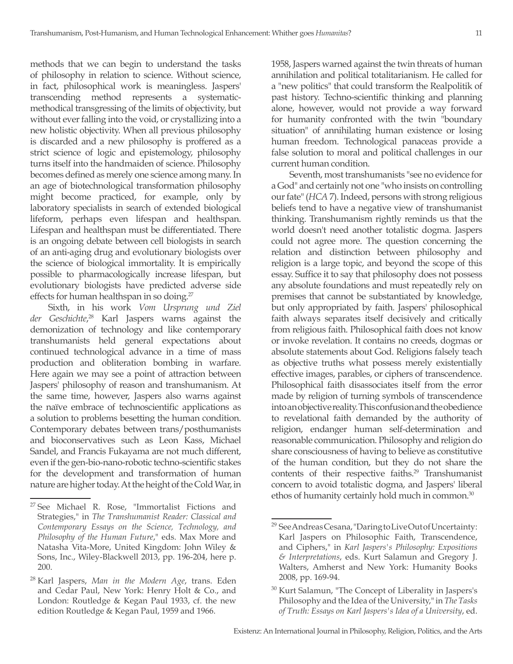methods that we can begin to understand the tasks of philosophy in relation to science. Without science, in fact, philosophical work is meaningless. Jaspers' transcending method represents a systematicmethodical transgressing of the limits of objectivity, but without ever falling into the void, or crystallizing into a new holistic objectivity. When all previous philosophy is discarded and a new philosophy is proffered as a strict science of logic and epistemology, philosophy turns itself into the handmaiden of science. Philosophy becomes defined as merely one science among many. In an age of biotechnological transformation philosophy might become practiced, for example, only by laboratory specialists in search of extended biological lifeform, perhaps even lifespan and healthspan. Lifespan and healthspan must be differentiated. There is an ongoing debate between cell biologists in search of an anti-aging drug and evolutionary biologists over the science of biological immortality. It is empirically possible to pharmacologically increase lifespan, but evolutionary biologists have predicted adverse side effects for human healthspan in so doing.<sup>27</sup>

Sixth, in his work *Vom Ursprung und Ziel der Geschichte*, 28 Karl Jaspers warns against the demonization of technology and like contemporary transhumanists held general expectations about continued technological advance in a time of mass production and obliteration bombing in warfare. Here again we may see a point of attraction between Jaspers' philosophy of reason and transhumanism. At the same time, however, Jaspers also warns against the naïve embrace of technoscientific applications as a solution to problems besetting the human condition. Contemporary debates between trans/posthumanists and bioconservatives such as Leon Kass, Michael Sandel, and Francis Fukayama are not much different, even if the gen-bio-nano-robotic techno-scientific stakes for the development and transformation of human nature are higher today. At the height of the Cold War, in 1958, Jaspers warned against the twin threats of human annihilation and political totalitarianism. He called for a "new politics" that could transform the Realpolitik of past history. Techno-scientific thinking and planning alone, however, would not provide a way forward for humanity confronted with the twin "boundary situation" of annihilating human existence or losing human freedom. Technological panaceas provide a false solution to moral and political challenges in our current human condition.

Seventh, most transhumanists "see no evidence for a God" and certainly not one "who insists on controlling our fate" (*HCA* 7). Indeed, persons with strong religious beliefs tend to have a negative view of transhumanist thinking. Transhumanism rightly reminds us that the world doesn't need another totalistic dogma. Jaspers could not agree more. The question concerning the relation and distinction between philosophy and religion is a large topic, and beyond the scope of this essay. Suffice it to say that philosophy does not possess any absolute foundations and must repeatedly rely on premises that cannot be substantiated by knowledge, but only appropriated by faith. Jaspers' philosophical faith always separates itself decisively and critically from religious faith. Philosophical faith does not know or invoke revelation. It contains no creeds, dogmas or absolute statements about God. Religions falsely teach as objective truths what possess merely existentially effective images, parables, or ciphers of transcendence. Philosophical faith disassociates itself from the error made by religion of turning symbols of transcendence into an objective reality. This confusion and the obedience to revelational faith demanded by the authority of religion, endanger human self-determination and reasonable communication. Philosophy and religion do share consciousness of having to believe as constitutive of the human condition, but they do not share the contents of their respective faiths.<sup>29</sup> Transhumanist concern to avoid totalistic dogma, and Jaspers' liberal ethos of humanity certainly hold much in common.<sup>30</sup>

<sup>27</sup> See Michael R. Rose, "Immortalist Fictions and Strategies," in *The Transhumanist Reader: Classical and Contemporary Essays on the Science, Technology, and Philosophy of the Human Future*," eds. Max More and Natasha Vita-More, United Kingdom: John Wiley & Sons, Inc., Wiley-Blackwell 2013, pp. 196-204, here p. 200.

<sup>28</sup> Karl Jaspers, *Man in the Modern Age*, trans. Eden and Cedar Paul, New York: Henry Holt & Co., and London: Routledge & Kegan Paul 1933, cf. the new edition Routledge & Kegan Paul, 1959 and 1966.

<sup>29</sup> See Andreas Cesana, "Daring to Live Out of Uncertainty: Karl Jaspers on Philosophic Faith, Transcendence, and Ciphers," in *Karl Jaspers's Philosophy: Expositions & Interpretations*, eds. Kurt Salamun and Gregory J. Walters, Amherst and New York: Humanity Books 2008, pp. 169-94.

<sup>&</sup>lt;sup>30</sup> Kurt Salamun, "The Concept of Liberality in Jaspers's Philosophy and the Idea of the University," in *The Tasks of Truth: Essays on Karl Jaspers's Idea of a University*, ed.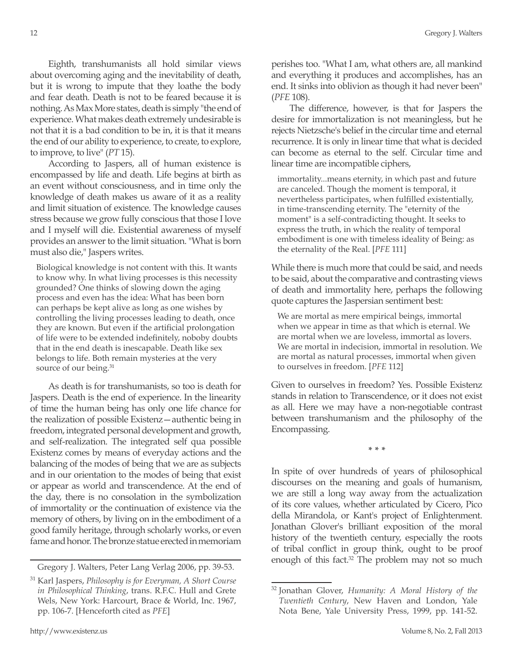Eighth, transhumanists all hold similar views about overcoming aging and the inevitability of death, but it is wrong to impute that they loathe the body and fear death. Death is not to be feared because it is nothing. As Max More states, death is simply "the end of experience. What makes death extremely undesirable is not that it is a bad condition to be in, it is that it means the end of our ability to experience, to create, to explore, to improve, to live" (*PT* 15).

According to Jaspers, all of human existence is encompassed by life and death. Life begins at birth as an event without consciousness, and in time only the knowledge of death makes us aware of it as a reality and limit situation of existence. The knowledge causes stress because we grow fully conscious that those I love and I myself will die. Existential awareness of myself provides an answer to the limit situation. "What is born must also die," Jaspers writes.

Biological knowledge is not content with this. It wants to know why. In what living processes is this necessity grounded? One thinks of slowing down the aging process and even has the idea: What has been born can perhaps be kept alive as long as one wishes by controlling the living processes leading to death, once they are known. But even if the artificial prolongation of life were to be extended indefinitely, noboby doubts that in the end death is inescapable. Death like sex belongs to life. Both remain mysteries at the very source of our being.<sup>31</sup>

As death is for transhumanists, so too is death for Jaspers. Death is the end of experience. In the linearity of time the human being has only one life chance for the realization of possible Existenz—authentic being in freedom, integrated personal development and growth, and self-realization. The integrated self qua possible Existenz comes by means of everyday actions and the balancing of the modes of being that we are as subjects and in our orientation to the modes of being that exist or appear as world and transcendence. At the end of the day, there is no consolation in the symbolization of immortality or the continuation of existence via the memory of others, by living on in the embodiment of a good family heritage, through scholarly works, or even fame and honor. The bronze statue erected in memoriam

Gregory J. Walters, Peter Lang Verlag 2006, pp. 39-53.

perishes too. "What I am, what others are, all mankind and everything it produces and accomplishes, has an end. It sinks into oblivion as though it had never been" (*PFE* 108).

The difference, however, is that for Jaspers the desire for immortalization is not meaningless, but he rejects Nietzsche's belief in the circular time and eternal recurrence. It is only in linear time that what is decided can become as eternal to the self. Circular time and linear time are incompatible ciphers,

immortality...means eternity, in which past and future are canceled. Though the moment is temporal, it nevertheless participates, when fulfilled existentially, in time-transcending eternity. The "eternity of the moment" is a self-contradicting thought. It seeks to express the truth, in which the reality of temporal embodiment is one with timeless ideality of Being: as the eternality of the Real. [*PFE* 111]

While there is much more that could be said, and needs to be said, about the comparative and contrasting views of death and immortality here, perhaps the following quote captures the Jaspersian sentiment best:

We are mortal as mere empirical beings, immortal when we appear in time as that which is eternal. We are mortal when we are loveless, immortal as lovers. We are mortal in indecision, immortal in resolution. We are mortal as natural processes, immortal when given to ourselves in freedom. [*PFE* 112]

Given to ourselves in freedom? Yes. Possible Existenz stands in relation to Transcendence, or it does not exist as all. Here we may have a non-negotiable contrast between transhumanism and the philosophy of the Encompassing.

**\* \* \***

In spite of over hundreds of years of philosophical discourses on the meaning and goals of humanism, we are still a long way away from the actualization of its core values, whether articulated by Cicero, Pico della Mirandola, or Kant's project of Enlightenment. Jonathan Glover's brilliant exposition of the moral history of the twentieth century, especially the roots of tribal conflict in group think, ought to be proof enough of this fact.<sup>32</sup> The problem may not so much

<sup>31</sup> Karl Jaspers, *Philosophy is for Everyman, A Short Course in Philosophical Thinking*, trans. R.F.C. Hull and Grete Wels, New York: Harcourt, Brace & World, Inc. 1967, pp. 106-7. [Henceforth cited as *PFE*]

<sup>32</sup> Jonathan Glover, *Humanity: A Moral History of the Twentieth Century*, New Haven and London, Yale Nota Bene, Yale University Press, 1999, pp. 141-52.